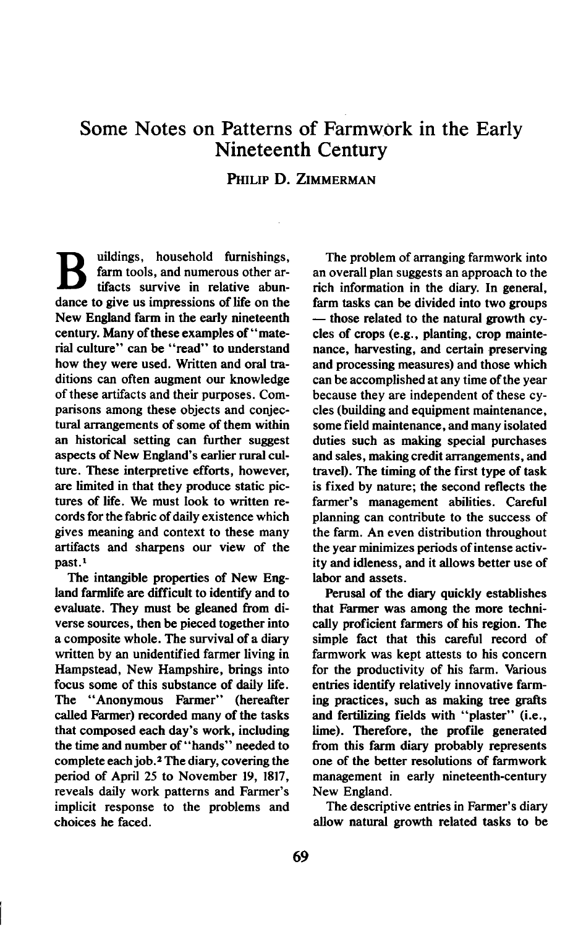## **Some Notes on Patterns of Farmwork in the Early Nineteenth Century**

## **PHILIP D. ZIMMERMAN**

**B** uildings, household furnishings, farm tools, and numerous other artifacts survive in relative abun**farm tools, and numerous other artifacts survive in relative abundance to give us impressions of life on the New England farm in the early nineteenth century. Many of these examples of "material culture" can be "read" to understand how they were used. Written and oral traditions can often augment our knowledge of these artifacts and their purposes. Comparisons among these objects and conjectural arrangements of some of them within an historical setting can further suggest aspects of New England's earlier rural culture. These interpretive efforts, however, are limited in that they produce static pictures of life. We must look to written records for the fabric of daily existence which gives meaning and context to these many artifacts and sharpens our view of the past.'** 

**The intangible properties of New England farmlife are difficult to identify and to evaluate. They must be gleaned from diverse sources, then be pieced together into a composite whole. The survival of a diary written by an unidentified farmer living in Hampstead, New Hampshire, brings into focus some of this substance of daily life. The "Anonymous Farmer" (hereafter called Farmer) recorded many of the tasks that composed each day's work, including the time and number of "hands" needed to complete each job.2 The diary, covering the period of April 25 to November 19, 1817, reveals daily work patterns and Farmer's implicit response to the problems and choices he faced.** 

**The problem of arranging farmwork into an overall plan suggests an approach to the rich information in the diary. In general, farm tasks can be divided into two groups**   $-$  those related to the natural growth cy**cles of crops (e.g., planting, crop maintenance, harvesting, and certain preserving and processing measures) and those which can be accomplished at any time of the year because they are independent of these cycles (building and equipment maintenance, some field maintenance, and many isolated duties such as making special purchases and sales, making credit arrangements, and travel). The timing of the fist type of task is fixed by nature; the second reflects the farmer's management abilities. Careful planning can contribute to the success of the farm. An even distribution throughout the year minimizes periods of intense activity and idleness, and it allows better use of labor and assets.** 

**Perusal of the diary quickly establishes that Farmer was among the more technically proficient farmers of his region. The simple fact that this careful record of farmwork was kept attests to his concern for the productivity of his farm. Various entries identify relatively innovative farming practices, such as making tree grafts and fertilizing fields with "plaster" (i.e., lime). Therefore, the profile generated from this farm diary probably represents one of the better resolutions of farmwork management in early nineteenth-century New England.** 

**The descriptive entries in Farmer's diary allow natural growth related tasks to be**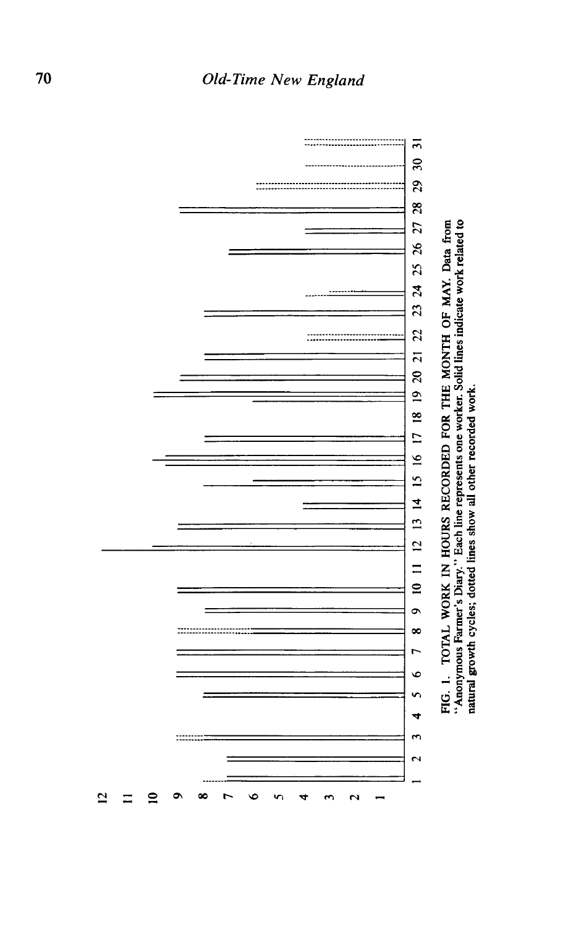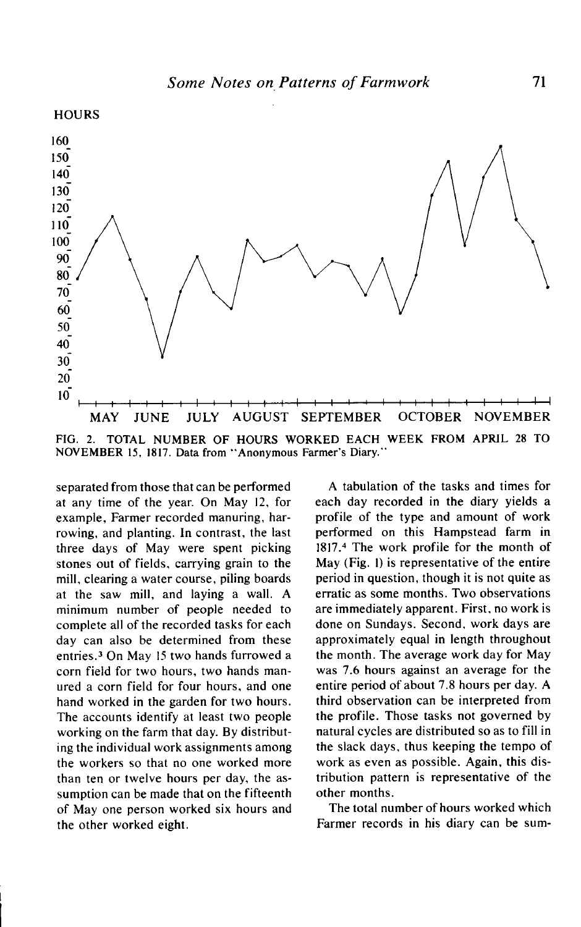

**FIG. 2. TOTAL NUMBER OF HOURS WORKED EACH WEEK FROM APRIL 28 TO NOVEMBER 15, 1817. Data from "Anonymous Farmer's Diary."** 

**separated from those that can be performed at any time of the year. On May 12, for example, Farmer recorded manuring, harrowing, and planting. In contrast, the last three days of May were spent picking stones out of fields, carrying grain to the mill, clearing a water course, piling boards at the saw mill, and laying a wall. A minimum number of people needed to complete all of the recorded tasks for each day can also be determined from these entries.3 On May I5 two hands furrowed a corn field for two hours, two hands manured a corn field for four hours, and one hand worked in the garden for two hours. The accounts identify at least two people working on the farm that day. By distributing the individual work assignments among the workers so that no one worked more than ten or twelve hours per day, the assumption can be made that on the fifteenth of May one person worked six hours and the other worked eight.** 

**A tabulation of the tasks and times for each day recorded in the diary yields a profile of the type and amount of work performed on this Hampstead farm in 1817.4 The work profile for the month of May (Fig. I) is representative of the entire period in question, though it is not quite as erratic as some months. Two observations are immediately apparent. First, no work is done on Sundays. Second, work days are approximately equal in length throughout the month. The average work day for May was 7.6 hours against an average for the entire period of about 7.8 hours per day. A third observation can be interpreted from the profile. Those tasks not governed by natural cycles are distributed so as to fill in the slack days, thus keeping the tempo of work as even as possible. Again, this distribution pattern is representative of the other months.** 

**The total number of hours worked which Farmer records in his diary can be sum-**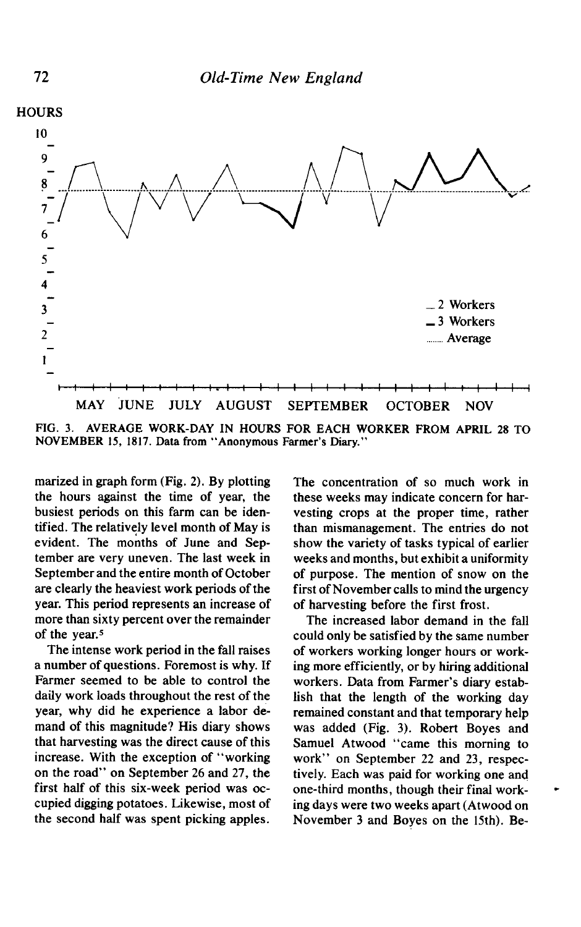

**FIG. 3. AVERAGE WORK-DAY IN HOURS FOR EACH WORKER FROM APRIL 28 TO**  NOVEMBER 15, 1817. Data from "Anonymous Farmer's Diary."

**marized in graph form (Fig. 2). By plotting the hours against the time of year, the busiest periods on this farm can be identified. The relatively level month of May is evident. The months of June and September are very uneven. The last week in September and the entire month of October are clearly the heaviest work periods of the year. This period represents an increase of more than sixty percent over the remainder of the year.5** 

**The intense work period in the fall raises a number of questions. Foremost is why. If Farmer seemed to be able to control the daily work loads throughout the rest of the year, why did he experience a labor demand of this magnitude? His diary shows that harvesting was the direct cause of this increase. With the exception of "working on the road" on September 26 and 27, the first half of this six-week period was occupied digging potatoes. Likewise, most of the second half was spent picking apples.** 

**The concentration of so much work in these weeks may indicate concern for harvesting crops at the proper time, rather than mismanagement. The entries do not show the variety of tasks typical of earlier weeks and months, but exhibit a uniformity of purpose. The mention of snow on the first of November calls to mind the urgency of harvesting before the first frost.** 

**The increased labor demand in the fall could only be satisfied by the same number of workers working longer hours or working more efficiently, or by hiring additional workers. Data from Farmer's diary establish that the length of the working day remained constant and that temporary help was added (Fig. 3). Robert Boyes and Samuel Atwood "came this morning to work" on September 22 and 23, respectively. Each was paid for working one and one-third months, though their final working days were two weeks apart (Atwood on November 3 and Boyes on the 15th). Be-**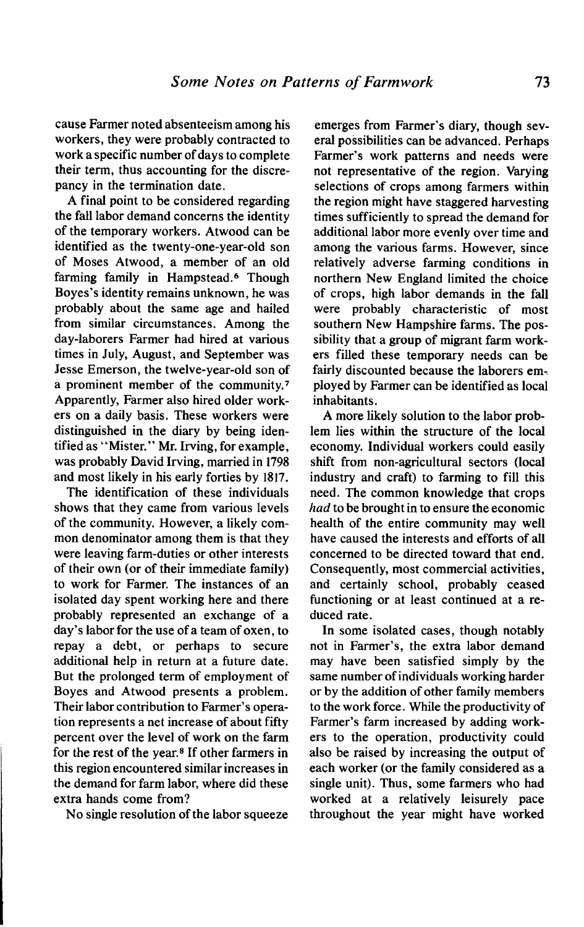**cause Farmer noted absenteeism among his workers, they were probably contracted to work a specific number of days to complete their term, thus accounting for the discrepancy in the termination date.** 

**A final point to be considered regarding the fall labor demand concerns the identity of the temporary workers. Atwood can be identified as the twenty-one-year-old son of Moses Atwood, a member of an old farming family in Hampstead.6 Though Boyes's identity remains unknown, he was probably about the same age and hailed from similar circumstances. Among the day-laborers Farmer had hired at various times in July, August, and September was Jesse Emerson, the twelve-year-old son of a prominent member of the community.' Apparently, Farmer also hired older workers on a daily basis. These workers were distinguished in the diary by being identified as "Mister." Mr. Irving, for example, was probably David Irving, married in 1798 and most likely in his early forties by 1817.** 

**The identification of these individuals shows that they came from various levels of the community. However, a likely common denominator among them is that they were leaving farm-duties or other interests of their own (or of their immediate family) to work for Farmer. The instances of an isolated day spent working here and there probably represented an exchange of a day's labor for the use of a team of oxen, to repay a debt, or perhaps to secure additional help in return at a future date. But the prolonged term of employment of Boyes and Atwood presents a problem. Their labor contribution to Farmer's operation represents a net increase of about fifty percent over the level of work on the farm**  for the rest of the year.<sup>8</sup> If other farmers in **this region encountered similar increases in the demand for farm labor, where did these extra hands come from?** 

**No single resolution of the labor squeeze** 

**emerges from Farmer's diary, though several possibilities can be advanced. Perhaps Farmer's work patterns and needs were not representative of the region. Varying selections of crops among farmers within the region might have staggered harvesting times sufficiently to spread the demand for additional labor more evenly over time and among the various farms. However, since relatively adverse farming conditions in northern New England limited the choice of crops, high labor demands in the fall were probably characteristic of most southern New Hampshire farms. The possibility that a group of migrant farm workers filled these temporary needs can be fairly discounted because the laborers employed by Farmer can be identified as local inhabitants.** 

**A more likely solution to the labor problem lies within the structure of the local economy. Individual workers could easily shift from non-agricultural sectors (local industry and craft) to farming to fill this need. The common knowledge that crops had to be brought in to ensure the economic health of the entire community may well have caused the interests and efforts of all concerned to be directed toward that end. Consequently, most commercial activities, and certainly school, probably ceased functioning or at least continued at a reduced rate.** 

**In some isolated cases, though notably not in Farmer's, the extra labor demand may have been satisfied simply by the same number of individuals working harder or by the addition of other family members to the work force. While the productivity of Farmer's farm increased by adding workers to the operation, productivity could also be raised by increasing the output of each worker (or the family considered as a single unit). Thus, some farmers who had worked at a relatively leisurely pace throughout the year might have worked**